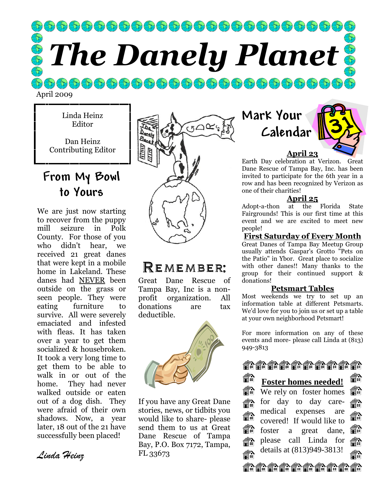$\left( \begin{array}{c|c} \bullet & \bullet & \bullet \end{array} \right) \left( \begin{array}{c|c} \bullet & \bullet & \bullet \end{array} \right) \left( \begin{array}{c|c} \bullet & \bullet & \bullet \end{array} \right) \left( \begin{array}{c|c} \bullet & \bullet & \bullet \end{array} \right) \left( \begin{array}{c|c} \bullet & \bullet & \bullet \end{array} \right) \left( \begin{array}{c|c} \bullet & \bullet & \bullet \end{array} \right) \left( \begin{array}{c|c} \bullet & \bullet & \bullet \end{array} \right) \left( \begin{array}{c|c} \bullet & \bullet & \bullet \end{array$ The Danely Planet

April 2009

Linda Heinz Editor

Dan Heinz Contributing Editor

## From My Bowl to Yours

We are just now starting to recover from the puppy mill seizure in Polk County. For those of you who didn't hear, we received 21 great danes that were kept in a mobile home in Lakeland. These danes had NEVER been outside on the grass or seen people. They were eating furniture to survive. All were severely emaciated and infested with fleas. It has taken over a year to get them socialized & housebroken. It took a very long time to get them to be able to walk in or out of the home. They had never walked outside or eaten out of a dog dish. They were afraid of their own shadows. Now, a year later, 18 out of the 21 have successfully been placed!

GOCS

### Remember:

Great Dane Rescue of Tampa Bay, Inc is a nonprofit organization. All donations are tax deductible.



If you have any Great Dane stories, news, or tidbits you would like to share- please send them to us at Great Dane Rescue of Tampa Bay, P.O. Box 7172, Tampa, FL 33673

Mark Your Calendar



Earth Day celebration at Verizon. Great Dane Rescue of Tampa Bay, Inc. has been invited to participate for the 6th year in a row and has been recognized by Verizon as one of their charities!

#### April 25

Adopt-a-thon at the Florida State Fairgrounds! This is our first time at this event and we are excited to meet new people!

#### First Saturday of Every Month

Great Danes of Tampa Bay Meetup Group usually attends Gaspar's Grotto "Pets on the Patio" in Ybor. Great place to socialize with other danes!! Many thanks to the group for their continued support & donations!

#### Petsmart Tables

Most weekends we try to set up an information table at different Petsmarts. We'd love for you to join us or set up a table at your own neighborhood Petsmart!

For more information on any of these events and more- please call Linda at (813) 949-3813



和 旨叫 **Foster homes needed!**  a di We rely on foster homes 旨 €₩ for day to day care-豁 medical expenses are 2)<br>1 論 covered! If would like to €∩ foster a great dane, 冨町 please call Linda for 俞 details at (813)949-3813! ਵੰਨੇ ョ EQEQEQEQEQEQEQEQEQE

Linda Heinz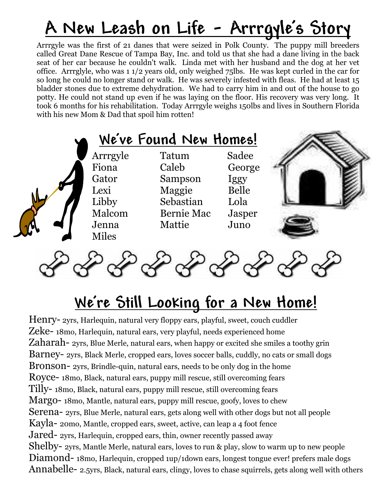## A New Leash on Life - Arrrgyle's Story

Arrrgyle was the first of 21 danes that were seized in Polk County. The puppy mill breeders called Great Dane Rescue of Tampa Bay, Inc. and told us that she had a dane living in the back seat of her car because he couldn't walk. Linda met with her husband and the dog at her vet office. Arrrglyle, who was 1 1/2 years old, only weighed 75lbs. He was kept curled in the car for so long he could no longer stand or walk. He was severely infested with fleas. He had at least 15 bladder stones due to extreme dehydration. We had to carry him in and out of the house to go potty. He could not stand up even if he was laying on the floor. His recovery was very long. It took 6 months for his rehabilitation. Today Arrrgyle weighs 150lbs and lives in Southern Florida with his new Mom & Dad that spoil him rotten!

|                                                                                | We've Found New Homes!                                                          |                                                            |  |
|--------------------------------------------------------------------------------|---------------------------------------------------------------------------------|------------------------------------------------------------|--|
| Arrrgyle<br>Fiona<br>Gator<br>Lexi<br>Libby<br>Malcom<br>Jenna<br><b>Miles</b> | Tatum<br>Caleb<br>Sampson<br>Maggie<br>Sebastian<br><b>Bernie Mac</b><br>Mattie | Sadee<br>George<br>Iggy<br>Belle<br>Lola<br>Jasper<br>Juno |  |



## We're Still Looking for a New Home!

Henry- 2yrs, Harlequin, natural very floppy ears, playful, sweet, couch cuddler Zeke- 18mo, Harlequin, natural ears, very playful, needs experienced home Zaharah- 2yrs, Blue Merle, natural ears, when happy or excited she smiles a toothy grin Barney- 2yrs, Black Merle, cropped ears, loves soccer balls, cuddly, no cats or small dogs Bronson- 2yrs, Brindle-quin, natural ears, needs to be only dog in the home Royce- 18mo, Black, natural ears, puppy mill rescue, still overcoming fears Tilly- 18mo, Black, natural ears, puppy mill rescue, still overcoming fears Margo- 18mo, Mantle, natural ears, puppy mill rescue, goofy, loves to chew Serena- 2yrs, Blue Merle, natural ears, gets along well with other dogs but not all people Kayla- 20mo, Mantle, cropped ears, sweet, active, can leap a 4 foot fence Jared- 2yrs, Harlequin, cropped ears, thin, owner recently passed away Shelby- 2yrs, Mantle Merle, natural ears, loves to run & play, slow to warm up to new people Diamond- 18mo, Harlequin, cropped 1up/1down ears, longest tongue ever! prefers male dogs Annabelle- 2.5yrs, Black, natural ears, clingy, loves to chase squirrels, gets along well with others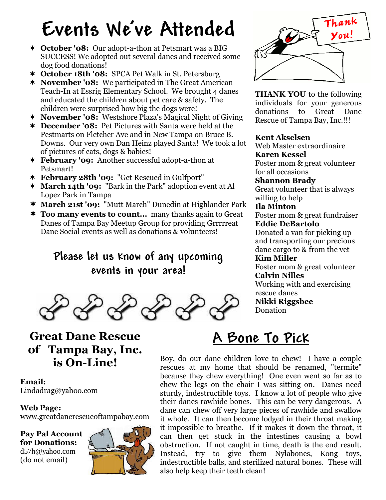# Events We've Attended

- \* October '08: Our adopt-a-thon at Petsmart was a BIG SUCCESS! We adopted out several danes and received some dog food donations!
- \* October 18th '08: SPCA Pet Walk in St. Petersburg
- \* November '08: We participated in The Great American Teach-In at Essrig Elementary School. We brought 4 danes and educated the children about pet care & safety. The children were surprised how big the dogs were!
- \* November '08: Westshore Plaza's Magical Night of Giving
- \* December '08: Pet Pictures with Santa were held at the Pestmarts on Fletcher Ave and in New Tampa on Bruce B. Downs. Our very own Dan Heinz played Santa! We took a lot of pictures of cats, dogs & babies!
- \* February '09: Another successful adopt-a-thon at Petsmart!
- February 28th '09: "Get Rescued in Gulfport"
- \* March 14th '09: "Bark in the Park" adoption event at Al Lopez Park in Tampa
- March 21st '09: "Mutt March" Dunedin at Highlander Park
- **\* Too many events to count...** many thanks again to Great Danes of Tampa Bay Meetup Group for providing Grrrrreat Dane Social events as well as donations & volunteers!

### Please let us know of any upcoming events in your area!



### Great Dane Rescue of Tampa Bay, Inc. is On-Line!

Email: Lindadrag@yahoo.com

#### Web Page: www.greatdanerescueoftampabay.com

Pay Pal Account for Donations: d57h@yahoo.com (do not email)





THANK YOU to the following individuals for your generous donations to Great Dane Rescue of Tampa Bay, Inc.!!!

#### Kent Akselsen

Web Master extraordinaire Karen Kessel Foster mom & great volunteer for all occasions Shannon Brady Great volunteer that is always willing to help Ila Minton Foster mom & great fundraiser Eddie DeBartolo Donated a van for picking up and transporting our precious dane cargo to & from the vet Kim Miller Foster mom & great volunteer Calvin Nilles Working with and exercising rescue danes

Nikki Riggsbee

Donation

## A Bone To Pick

Boy, do our dane children love to chew! I have a couple rescues at my home that should be renamed, "termite" because they chew everything! One even went so far as to chew the legs on the chair I was sitting on. Danes need sturdy, indestructible toys. I know a lot of people who give their danes rawhide bones. This can be very dangerous. A dane can chew off very large pieces of rawhide and swallow it whole. It can then become lodged in their throat making it impossible to breathe. If it makes it down the throat, it can then get stuck in the intestines causing a bowl obstruction. If not caught in time, death is the end result. Instead, try to give them Nylabones, Kong toys, indestructible balls, and sterilized natural bones. These will also help keep their teeth clean!